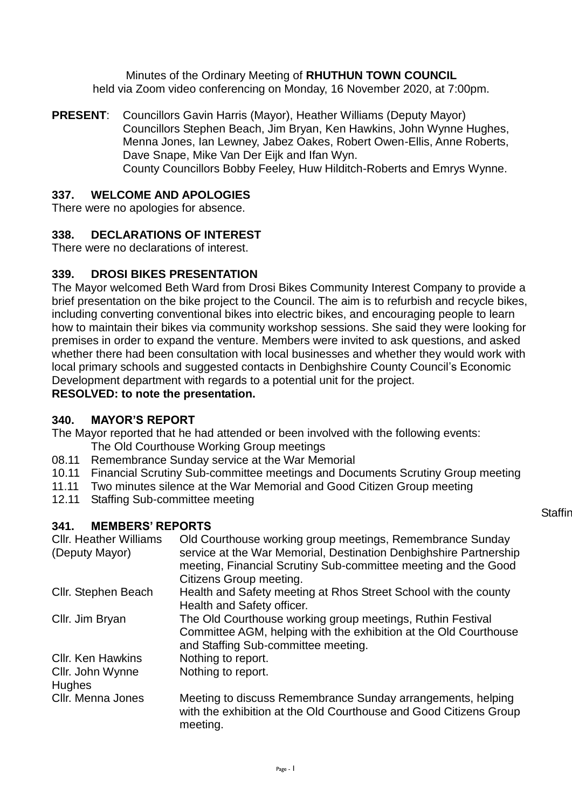Minutes of the Ordinary Meeting of **RHUTHUN TOWN COUNCIL** held via Zoom video conferencing on Monday, 16 November 2020, at 7:00pm.

**PRESENT**: Councillors Gavin Harris (Mayor), Heather Williams (Deputy Mayor) Councillors Stephen Beach, Jim Bryan, Ken Hawkins, John Wynne Hughes, Menna Jones, Ian Lewney, Jabez Oakes, Robert Owen-Ellis, Anne Roberts, Dave Snape, Mike Van Der Eijk and Ifan Wyn. County Councillors Bobby Feeley, Huw Hilditch-Roberts and Emrys Wynne.

### **337. WELCOME AND APOLOGIES**

There were no apologies for absence.

### **338. DECLARATIONS OF INTEREST**

There were no declarations of interest.

### **339. DROSI BIKES PRESENTATION**

The Mayor welcomed Beth Ward from Drosi Bikes Community Interest Company to provide a brief presentation on the bike project to the Council. The aim is to refurbish and recycle bikes, including converting conventional bikes into electric bikes, and encouraging people to learn how to maintain their bikes via community workshop sessions. She said they were looking for premises in order to expand the venture. Members were invited to ask questions, and asked whether there had been consultation with local businesses and whether they would work with local primary schools and suggested contacts in Denbighshire County Council's Economic Development department with regards to a potential unit for the project.

### **RESOLVED: to note the presentation.**

# **340. MAYOR'S REPORT**

The Mayor reported that he had attended or been involved with the following events:

- The Old Courthouse Working Group meetings
- 08.11 Remembrance Sunday service at the War Memorial
- 10.11 Financial Scrutiny Sub-committee meetings and Documents Scrutiny Group meeting

Staffin

- 11.11 Two minutes silence at the War Memorial and Good Citizen Group meeting
- 12.11 Staffing Sub-committee meeting

# **341. MEMBERS' REPORTS**

| <b>Cllr. Heather Williams</b><br>(Deputy Mayor) | Old Courthouse working group meetings, Remembrance Sunday<br>service at the War Memorial, Destination Denbighshire Partnership               |
|-------------------------------------------------|----------------------------------------------------------------------------------------------------------------------------------------------|
|                                                 | meeting, Financial Scrutiny Sub-committee meeting and the Good                                                                               |
|                                                 | Citizens Group meeting.                                                                                                                      |
| Cllr. Stephen Beach                             | Health and Safety meeting at Rhos Street School with the county<br>Health and Safety officer.                                                |
| Cllr. Jim Bryan                                 | The Old Courthouse working group meetings, Ruthin Festival                                                                                   |
|                                                 | Committee AGM, helping with the exhibition at the Old Courthouse<br>and Staffing Sub-committee meeting.                                      |
| <b>CIIr. Ken Hawkins</b>                        | Nothing to report.                                                                                                                           |
| Cllr. John Wynne<br><b>Hughes</b>               | Nothing to report.                                                                                                                           |
| Cllr. Menna Jones                               | Meeting to discuss Remembrance Sunday arrangements, helping<br>with the exhibition at the Old Courthouse and Good Citizens Group<br>meeting. |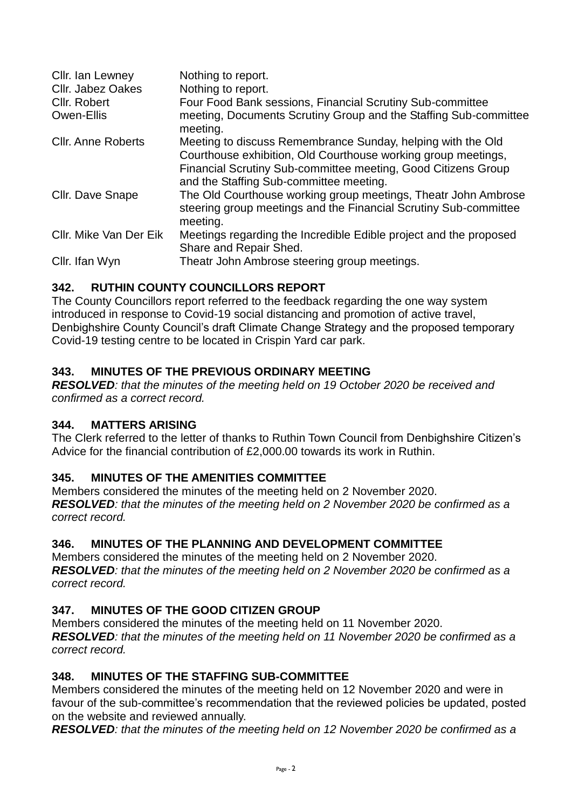| Cllr. Ian Lewney<br><b>Cllr. Jabez Oakes</b><br>Cllr. Robert<br>Owen-Ellis | Nothing to report.<br>Nothing to report.<br>Four Food Bank sessions, Financial Scrutiny Sub-committee<br>meeting, Documents Scrutiny Group and the Staffing Sub-committee<br>meeting.                                                    |
|----------------------------------------------------------------------------|------------------------------------------------------------------------------------------------------------------------------------------------------------------------------------------------------------------------------------------|
| <b>Cllr. Anne Roberts</b>                                                  | Meeting to discuss Remembrance Sunday, helping with the Old<br>Courthouse exhibition, Old Courthouse working group meetings,<br>Financial Scrutiny Sub-committee meeting, Good Citizens Group<br>and the Staffing Sub-committee meeting. |
| Cllr. Dave Snape                                                           | The Old Courthouse working group meetings, Theatr John Ambrose<br>steering group meetings and the Financial Scrutiny Sub-committee<br>meeting.                                                                                           |
| Cllr. Mike Van Der Eik                                                     | Meetings regarding the Incredible Edible project and the proposed<br>Share and Repair Shed.                                                                                                                                              |
| Cllr. Ifan Wyn                                                             | Theatr John Ambrose steering group meetings.                                                                                                                                                                                             |

# **342. RUTHIN COUNTY COUNCILLORS REPORT**

The County Councillors report referred to the feedback regarding the one way system introduced in response to Covid-19 social distancing and promotion of active travel, Denbighshire County Council's draft Climate Change Strategy and the proposed temporary Covid-19 testing centre to be located in Crispin Yard car park.

### **343. MINUTES OF THE PREVIOUS ORDINARY MEETING**

*RESOLVED: that the minutes of the meeting held on 19 October 2020 be received and confirmed as a correct record.* 

### **344. MATTERS ARISING**

The Clerk referred to the letter of thanks to Ruthin Town Council from Denbighshire Citizen's Advice for the financial contribution of £2,000.00 towards its work in Ruthin.

### **345. MINUTES OF THE AMENITIES COMMITTEE**

Members considered the minutes of the meeting held on 2 November 2020. *RESOLVED: that the minutes of the meeting held on 2 November 2020 be confirmed as a correct record.* 

### **346. MINUTES OF THE PLANNING AND DEVELOPMENT COMMITTEE**

Members considered the minutes of the meeting held on 2 November 2020. *RESOLVED: that the minutes of the meeting held on 2 November 2020 be confirmed as a correct record.* 

### **347. MINUTES OF THE GOOD CITIZEN GROUP**

Members considered the minutes of the meeting held on 11 November 2020. *RESOLVED: that the minutes of the meeting held on 11 November 2020 be confirmed as a correct record.* 

### **348. MINUTES OF THE STAFFING SUB-COMMITTEE**

Members considered the minutes of the meeting held on 12 November 2020 and were in favour of the sub-committee's recommendation that the reviewed policies be updated, posted on the website and reviewed annually.

*RESOLVED: that the minutes of the meeting held on 12 November 2020 be confirmed as a*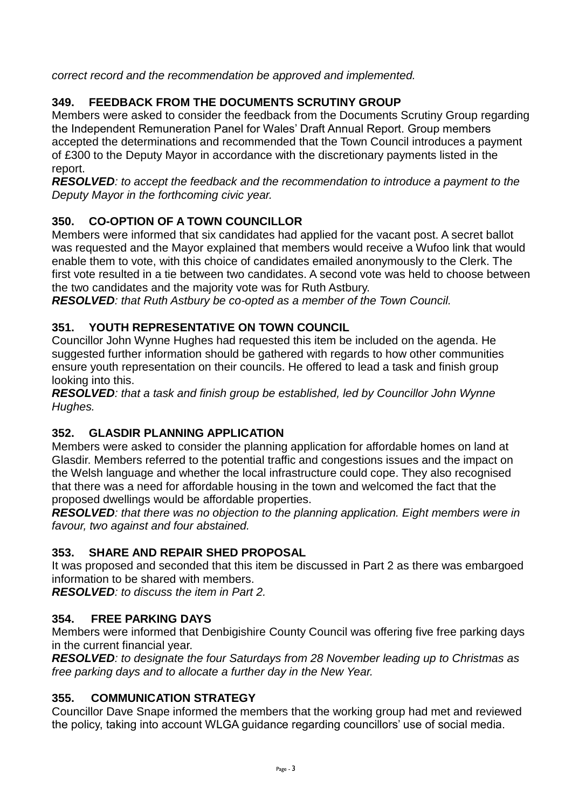*correct record and the recommendation be approved and implemented.* 

# **349. FEEDBACK FROM THE DOCUMENTS SCRUTINY GROUP**

Members were asked to consider the feedback from the Documents Scrutiny Group regarding the Independent Remuneration Panel for Wales' Draft Annual Report. Group members accepted the determinations and recommended that the Town Council introduces a payment of £300 to the Deputy Mayor in accordance with the discretionary payments listed in the report.

*RESOLVED: to accept the feedback and the recommendation to introduce a payment to the Deputy Mayor in the forthcoming civic year.* 

# **350. CO-OPTION OF A TOWN COUNCILLOR**

Members were informed that six candidates had applied for the vacant post. A secret ballot was requested and the Mayor explained that members would receive a Wufoo link that would enable them to vote, with this choice of candidates emailed anonymously to the Clerk. The first vote resulted in a tie between two candidates. A second vote was held to choose between the two candidates and the majority vote was for Ruth Astbury.

*RESOLVED: that Ruth Astbury be co-opted as a member of the Town Council.* 

# **351. YOUTH REPRESENTATIVE ON TOWN COUNCIL**

Councillor John Wynne Hughes had requested this item be included on the agenda. He suggested further information should be gathered with regards to how other communities ensure youth representation on their councils. He offered to lead a task and finish group looking into this.

*RESOLVED: that a task and finish group be established, led by Councillor John Wynne Hughes.* 

# **352. GLASDIR PLANNING APPLICATION**

Members were asked to consider the planning application for affordable homes on land at Glasdir. Members referred to the potential traffic and congestions issues and the impact on the Welsh language and whether the local infrastructure could cope. They also recognised that there was a need for affordable housing in the town and welcomed the fact that the proposed dwellings would be affordable properties.

*RESOLVED: that there was no objection to the planning application. Eight members were in favour, two against and four abstained.* 

# **353. SHARE AND REPAIR SHED PROPOSAL**

It was proposed and seconded that this item be discussed in Part 2 as there was embargoed information to be shared with members.

*RESOLVED: to discuss the item in Part 2.* 

### **354. FREE PARKING DAYS**

Members were informed that Denbigishire County Council was offering five free parking days in the current financial year.

*RESOLVED: to designate the four Saturdays from 28 November leading up to Christmas as free parking days and to allocate a further day in the New Year.*

### **355. COMMUNICATION STRATEGY**

Councillor Dave Snape informed the members that the working group had met and reviewed the policy, taking into account WLGA guidance regarding councillors' use of social media.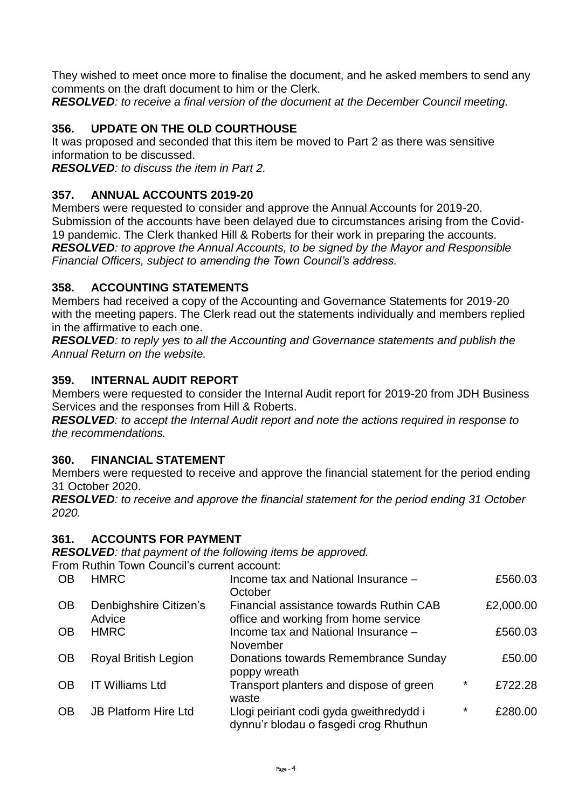They wished to meet once more to finalise the document, and he asked members to send any comments on the draft document to him or the Clerk.

*RESOLVED: to receive a final version of the document at the December Council meeting.*

# **356. UPDATE ON THE OLD COURTHOUSE**

It was proposed and seconded that this item be moved to Part 2 as there was sensitive information to be discussed.

*RESOLVED: to discuss the item in Part 2.* 

### **357. ANNUAL ACCOUNTS 2019-20**

Members were requested to consider and approve the Annual Accounts for 2019-20. Submission of the accounts have been delayed due to circumstances arising from the Covid-19 pandemic. The Clerk thanked Hill & Roberts for their work in preparing the accounts. *RESOLVED: to approve the Annual Accounts, to be signed by the Mayor and Responsible Financial Officers, subject to amending the Town Council's address.*

### **358. ACCOUNTING STATEMENTS**

Members had received a copy of the Accounting and Governance Statements for 2019-20 with the meeting papers. The Clerk read out the statements individually and members replied in the affirmative to each one.

*RESOLVED: to reply yes to all the Accounting and Governance statements and publish the Annual Return on the website.* 

### **359. INTERNAL AUDIT REPORT**

Members were requested to consider the Internal Audit report for 2019-20 from JDH Business Services and the responses from Hill & Roberts.

*RESOLVED: to accept the Internal Audit report and note the actions required in response to the recommendations.*

### **360. FINANCIAL STATEMENT**

Members were requested to receive and approve the financial statement for the period ending 31 October 2020.

*RESOLVED: to receive and approve the financial statement for the period ending 31 October 2020.*

### **361. ACCOUNTS FOR PAYMENT**

*RESOLVED: that payment of the following items be approved.*

| <b>OB</b> | <b>HMRC</b>                      | Income tax and National Insurance -<br>October                                   |          | £560.03   |
|-----------|----------------------------------|----------------------------------------------------------------------------------|----------|-----------|
| <b>OB</b> | Denbighshire Citizen's<br>Advice | Financial assistance towards Ruthin CAB<br>office and working from home service  |          | £2,000.00 |
| <b>OB</b> | <b>HMRC</b>                      | Income tax and National Insurance -<br>November                                  |          | £560.03   |
| <b>OB</b> | <b>Royal British Legion</b>      | Donations towards Remembrance Sunday<br>poppy wreath                             |          | £50.00    |
| <b>OB</b> | <b>IT Williams Ltd</b>           | Transport planters and dispose of green<br>waste                                 | $^\star$ | £722.28   |
| <b>OB</b> | <b>JB Platform Hire Ltd</b>      | Llogi peiriant codi gyda gweithredydd i<br>dynnu'r blodau o fasgedi crog Rhuthun | *        | £280.00   |